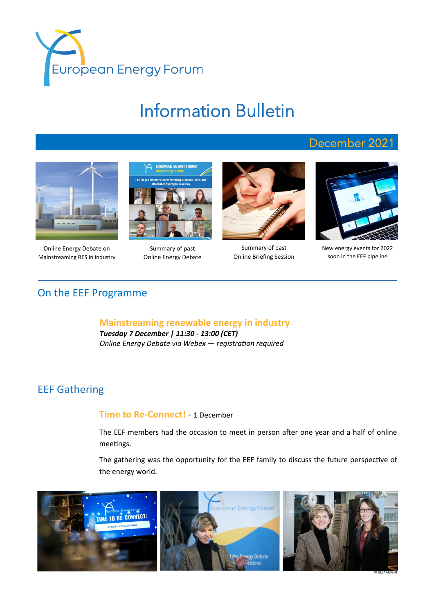

# Information Bulletin

## December 2021



Online Energy Debate on Mainstreaming RES in industry



Summary of past Online Energy Debate



Summary of past Online Briefing Session



New energy events for 2022 soon in the EEF pipeline

### On the EEF Programme

**Mainstreaming renewable energy in industry** *Tuesday 7 December | 11:30 - 13:00 (CET) Online Energy Debate via Webex — registration required*

## EEF Gathering

#### **Time to Re-Connect!** - 1 December

The EEF members had the occasion to meet in person after one year and a half of online meetings.

The gathering was the opportunity for the EEF family to discuss the future perspective of the energy world.

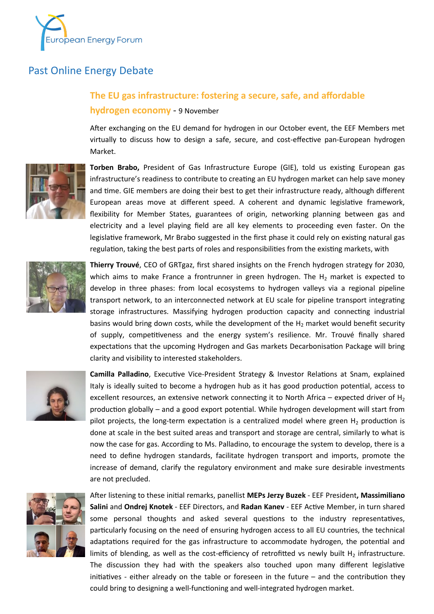

## Past Online Energy Debate

## **The EU gas infrastructure: fostering a secure, safe, and affordable hydrogen economy** - 9 November

After exchanging on the EU demand for hydrogen in our October event, the EEF Members met virtually to discuss how to design a safe, secure, and cost-effective pan-European hydrogen Market.



**Torben Brabo,** President of Gas Infrastructure Europe (GIE), told us existing European gas infrastructure's readiness to contribute to creating an EU hydrogen market can help save money and time. GIE members are doing their best to get their infrastructure ready, although different European areas move at different speed. A coherent and dynamic legislative framework, flexibility for Member States, guarantees of origin, networking planning between gas and electricity and a level playing field are all key elements to proceeding even faster. On the legislative framework, Mr Brabo suggested in the first phase it could rely on existing natural gas regulation, taking the best parts of roles and responsibilities from the existing markets, with



**Thierry Trouvé**, CEO of GRTgaz, first shared insights on the French hydrogen strategy for 2030, which aims to make France a frontrunner in green hydrogen. The  $H_2$  market is expected to develop in three phases: from local ecosystems to hydrogen valleys via a regional pipeline transport network, to an interconnected network at EU scale for pipeline transport integrating storage infrastructures. Massifying hydrogen production capacity and connecting industrial basins would bring down costs, while the development of the  $H_2$  market would benefit security of supply, competitiveness and the energy system's resilience. Mr. Trouvé finally shared expectations that the upcoming Hydrogen and Gas markets Decarbonisation Package will bring clarity and visibility to interested stakeholders.



**Camilla Palladino**, Executive Vice-President Strategy & Investor Relations at Snam, explained Italy is ideally suited to become a hydrogen hub as it has good production potential, access to excellent resources, an extensive network connecting it to North Africa – expected driver of  $H_2$ production globally – and a good export potential. While hydrogen development will start from pilot projects, the long-term expectation is a centralized model where green  $H_2$  production is done at scale in the best suited areas and transport and storage are central, similarly to what is now the case for gas. According to Ms. Palladino, to encourage the system to develop, there is a need to define hydrogen standards, facilitate hydrogen transport and imports, promote the increase of demand, clarify the regulatory environment and make sure desirable investments are not precluded.



After listening to these initial remarks, panellist **MEPs Jerzy Buzek** - EEF President**, Massimiliano Salini** and **Ondrej Knotek** - EEF Directors, and **Radan Kanev** - EEF Active Member, in turn shared some personal thoughts and asked several questions to the industry representatives, particularly focusing on the need of ensuring hydrogen access to all EU countries, the technical adaptations required for the gas infrastructure to accommodate hydrogen, the potential and limits of blending, as well as the cost-efficiency of retrofitted vs newly built  $H_2$  infrastructure. The discussion they had with the speakers also touched upon many different legislative initiatives - either already on the table or foreseen in the future – and the contribution they could bring to designing a well-functioning and well-integrated hydrogen market.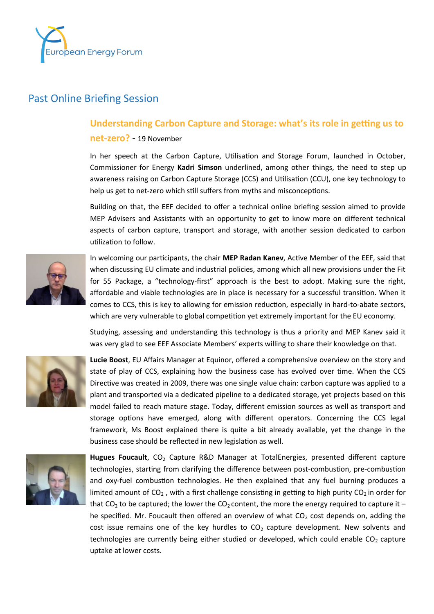

#### Past Online Briefing Session

#### **Understanding Carbon Capture and Storage: what's its role in getting us to**

#### **net-zero?** - 19 November

In her speech at the Carbon Capture, Utilisation and Storage Forum, launched in October, Commissioner for Energy **Kadri Simson** underlined, among other things, the need to step up awareness raising on Carbon Capture Storage (CCS) and Utilisation (CCU), one key technology to help us get to net-zero which still suffers from myths and misconceptions.

Building on that, the EEF decided to offer a technical online briefing session aimed to provide MEP Advisers and Assistants with an opportunity to get to know more on different technical aspects of carbon capture, transport and storage, with another session dedicated to carbon utilization to follow.



In welcoming our participants, the chair **MEP Radan Kanev**, Active Member of the EEF, said that when discussing EU climate and industrial policies, among which all new provisions under the Fit for 55 Package, a "technology-first" approach is the best to adopt. Making sure the right, affordable and viable technologies are in place is necessary for a successful transition. When it comes to CCS, this is key to allowing for emission reduction, especially in hard-to-abate sectors, which are very vulnerable to global competition yet extremely important for the EU economy.

Studying, assessing and understanding this technology is thus a priority and MEP Kanev said it was very glad to see EEF Associate Members' experts willing to share their knowledge on that.



**Lucie Boost**, EU Affairs Manager at Equinor, offered a comprehensive overview on the story and state of play of CCS, explaining how the business case has evolved over time. When the CCS Directive was created in 2009, there was one single value chain: carbon capture was applied to a plant and transported via a dedicated pipeline to a dedicated storage, yet projects based on this model failed to reach mature stage. Today, different emission sources as well as transport and storage options have emerged, along with different operators. Concerning the CCS legal framework, Ms Boost explained there is quite a bit already available, yet the change in the business case should be reflected in new legislation as well.



Hugues Foucault, CO<sub>2</sub> Capture R&D Manager at TotalEnergies, presented different capture technologies, starting from clarifying the difference between post-combustion, pre-combustion and oxy-fuel combustion technologies. He then explained that any fuel burning produces a limited amount of  $CO<sub>2</sub>$ , with a first challenge consisting in getting to high purity  $CO<sub>2</sub>$  in order for that CO<sub>2</sub> to be captured; the lower the CO<sub>2</sub> content, the more the energy required to capture it – he specified. Mr. Foucault then offered an overview of what  $CO<sub>2</sub>$  cost depends on, adding the cost issue remains one of the key hurdles to  $CO<sub>2</sub>$  capture development. New solvents and technologies are currently being either studied or developed, which could enable  $CO<sub>2</sub>$  capture uptake at lower costs.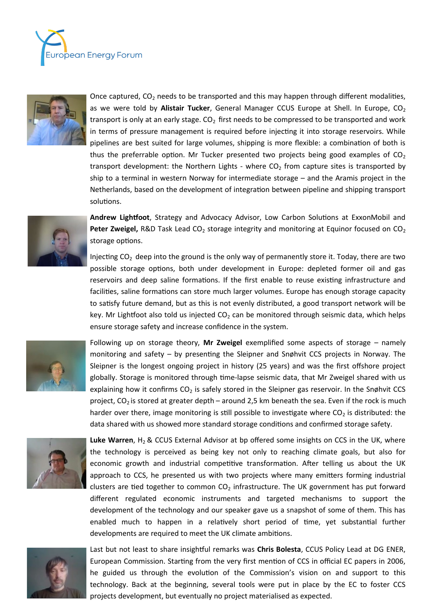



Once captured,  $CO<sub>2</sub>$  needs to be transported and this may happen through different modalities, as we were told by Alistair Tucker, General Manager CCUS Europe at Shell. In Europe, CO<sub>2</sub> transport is only at an early stage.  $CO<sub>2</sub>$  first needs to be compressed to be transported and work in terms of pressure management is required before injecting it into storage reservoirs. While pipelines are best suited for large volumes, shipping is more flexible: a combination of both is thus the preferrable option. Mr Tucker presented two projects being good examples of  $CO<sub>2</sub>$ transport development: the Northern Lights - where  $CO<sub>2</sub>$  from capture sites is transported by ship to a terminal in western Norway for intermediate storage – and the Aramis project in the Netherlands, based on the development of integration between pipeline and shipping transport solutions.



**Andrew Lightfoot**, Strategy and Advocacy Advisor, Low Carbon Solutions at ExxonMobil and **Peter Zweigel, R&D** Task Lead CO<sub>2</sub> storage integrity and monitoring at Equinor focused on CO<sub>2</sub> storage options.

Injecting  $CO<sub>2</sub>$  deep into the ground is the only way of permanently store it. Today, there are two possible storage options, both under development in Europe: depleted former oil and gas reservoirs and deep saline formations. If the first enable to reuse existing infrastructure and facilities, saline formations can store much larger volumes. Europe has enough storage capacity to satisfy future demand, but as this is not evenly distributed, a good transport network will be key. Mr Lightfoot also told us injected  $CO<sub>2</sub>$  can be monitored through seismic data, which helps ensure storage safety and increase confidence in the system.



Following up on storage theory, **Mr Zweigel** exemplified some aspects of storage – namely monitoring and safety – by presenting the Sleipner and Snøhvit CCS projects in Norway. The Sleipner is the longest ongoing project in history (25 years) and was the first offshore project globally. Storage is monitored through time-lapse seismic data, that Mr Zweigel shared with us explaining how it confirms  $CO<sub>2</sub>$  is safely stored in the Sleipner gas reservoir. In the Snøhvit CCS project,  $CO<sub>2</sub>$  is stored at greater depth – around 2,5 km beneath the sea. Even if the rock is much harder over there, image monitoring is still possible to investigate where  $CO<sub>2</sub>$  is distributed: the data shared with us showed more standard storage conditions and confirmed storage safety.



Luke Warren, H<sub>2</sub> & CCUS External Advisor at bp offered some insights on CCS in the UK, where the technology is perceived as being key not only to reaching climate goals, but also for economic growth and industrial competitive transformation. After telling us about the UK approach to CCS, he presented us with two projects where many emitters forming industrial clusters are tied together to common  $CO<sub>2</sub>$  infrastructure. The UK government has put forward different regulated economic instruments and targeted mechanisms to support the development of the technology and our speaker gave us a snapshot of some of them. This has enabled much to happen in a relatively short period of time, yet substantial further developments are required to meet the UK climate ambitions.



Last but not least to share insightful remarks was **Chris Bolesta**, CCUS Policy Lead at DG ENER, European Commission. Starting from the very first mention of CCS in official EC papers in 2006, he guided us through the evolution of the Commission's vision on and support to this technology. Back at the beginning, several tools were put in place by the EC to foster CCS projects development, but eventually no project materialised as expected.